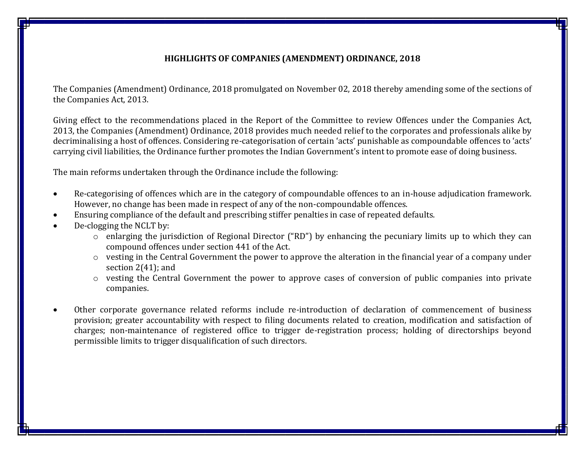#### **HIGHLIGHTS OF COMPANIES (AMENDMENT) ORDINANCE, 2018**

The Companies (Amendment) Ordinance, 2018 promulgated on November 02, 2018 thereby amending some of the sections of the Companies Act, 2013.

Giving effect to the recommendations placed in the Report of the Committee to review Offences under the Companies Act, 2013, the Companies (Amendment) Ordinance, 2018 provides much needed relief to the corporates and professionals alike by decriminalising a host of offences. Considering re-categorisation of certain 'acts' punishable as compoundable offences to 'acts' carrying civil liabilities, the Ordinance further promotes the Indian Government's intent to promote ease of doing business.

The main reforms undertaken through the Ordinance include the following:

- Re-categorising of offences which are in the category of compoundable offences to an in-house adjudication framework. However, no change has been made in respect of any of the non-compoundable offences.
- Ensuring compliance of the default and prescribing stiffer penalties in case of repeated defaults.
- De-clogging the NCLT by:
	- o enlarging the jurisdiction of Regional Director ("RD") by enhancing the pecuniary limits up to which they can compound offences under section 441 of the Act.
	- o vesting in the Central Government the power to approve the alteration in the financial year of a company under section 2(41); and
	- o vesting the Central Government the power to approve cases of conversion of public companies into private companies.
- Other corporate governance related reforms include re-introduction of declaration of commencement of business provision; greater accountability with respect to filing documents related to creation, modification and satisfaction of charges; non-maintenance of registered office to trigger de-registration process; holding of directorships beyond permissible limits to trigger disqualification of such directors.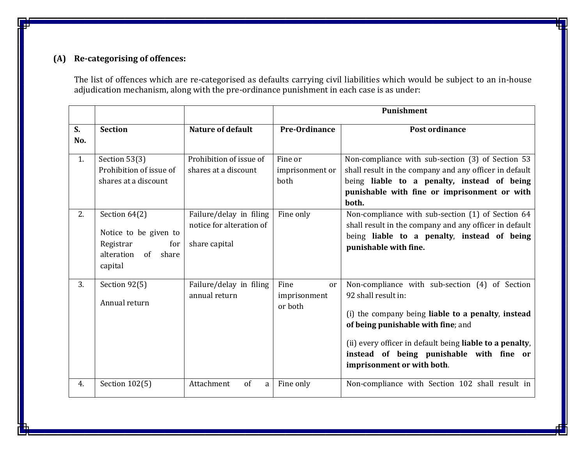# **(A) Re-categorising of offences:**

The list of offences which are re-categorised as defaults carrying civil liabilities which would be subject to an in-house adjudication mechanism, along with the pre-ordinance punishment in each case is as under:

|           |                                                                                                 |                                                                      |                                       | Punishment                                                                                                                                                                                                                                                                                              |
|-----------|-------------------------------------------------------------------------------------------------|----------------------------------------------------------------------|---------------------------------------|---------------------------------------------------------------------------------------------------------------------------------------------------------------------------------------------------------------------------------------------------------------------------------------------------------|
| S.<br>No. | <b>Section</b>                                                                                  | <b>Nature of default</b>                                             | Pre-Ordinance                         | Post ordinance                                                                                                                                                                                                                                                                                          |
| 1.        | Section 53(3)<br>Prohibition of issue of<br>shares at a discount                                | Prohibition of issue of<br>shares at a discount                      | Fine or<br>imprisonment or<br>both    | Non-compliance with sub-section (3) of Section 53<br>shall result in the company and any officer in default<br>being liable to a penalty, instead of being<br>punishable with fine or imprisonment or with<br>both.                                                                                     |
| 2.        | Section 64(2)<br>Notice to be given to<br>Registrar<br>for<br>alteration<br>of share<br>capital | Failure/delay in filing<br>notice for alteration of<br>share capital | Fine only                             | Non-compliance with sub-section (1) of Section 64<br>shall result in the company and any officer in default<br>being liable to a penalty, instead of being<br>punishable with fine.                                                                                                                     |
| 3.        | Section 92(5)<br>Annual return                                                                  | Failure/delay in filing<br>annual return                             | Fine<br>or<br>imprisonment<br>or both | Non-compliance with sub-section (4) of Section<br>92 shall result in:<br>(i) the company being liable to a penalty, instead<br>of being punishable with fine; and<br>(ii) every officer in default being liable to a penalty,<br>instead of being punishable with fine or<br>imprisonment or with both. |
| 4.        | Section 102(5)                                                                                  | Attachment<br>of<br>a                                                | Fine only                             | Non-compliance with Section 102 shall result in                                                                                                                                                                                                                                                         |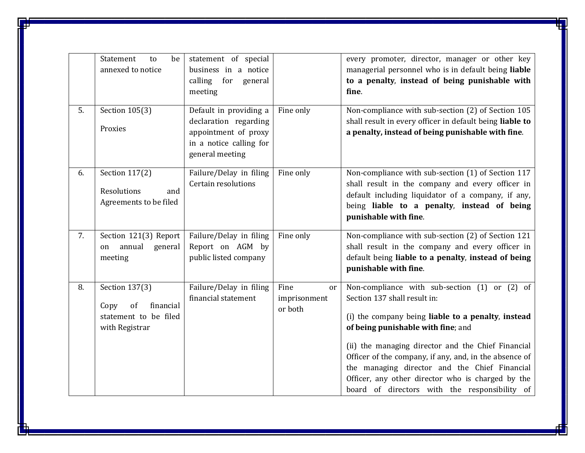|    | Statement<br>be<br>to<br>annexed to notice                                           | statement of special<br>business in a notice<br>for<br>calling<br>general<br>meeting                                  |                                       | every promoter, director, manager or other key<br>managerial personnel who is in default being liable<br>to a penalty, instead of being punishable with<br>fine.                                                                                                                                                                                                                                                                                 |
|----|--------------------------------------------------------------------------------------|-----------------------------------------------------------------------------------------------------------------------|---------------------------------------|--------------------------------------------------------------------------------------------------------------------------------------------------------------------------------------------------------------------------------------------------------------------------------------------------------------------------------------------------------------------------------------------------------------------------------------------------|
| 5. | Section 105(3)<br>Proxies                                                            | Default in providing a<br>declaration regarding<br>appointment of proxy<br>in a notice calling for<br>general meeting | Fine only                             | Non-compliance with sub-section (2) of Section 105<br>shall result in every officer in default being liable to<br>a penalty, instead of being punishable with fine.                                                                                                                                                                                                                                                                              |
| 6. | Section 117(2)<br>Resolutions<br>and<br>Agreements to be filed                       | Failure/Delay in filing<br>Certain resolutions                                                                        | Fine only                             | Non-compliance with sub-section (1) of Section 117<br>shall result in the company and every officer in<br>default including liquidator of a company, if any,<br>being liable to a penalty, instead of being<br>punishable with fine.                                                                                                                                                                                                             |
| 7. | Section 121(3) Report<br>annual<br>general<br>on<br>meeting                          | Failure/Delay in filing<br>Report on AGM by<br>public listed company                                                  | Fine only                             | Non-compliance with sub-section (2) of Section 121<br>shall result in the company and every officer in<br>default being liable to a penalty, instead of being<br>punishable with fine.                                                                                                                                                                                                                                                           |
| 8. | Section 137(3)<br>financial<br>Copy<br>of<br>statement to be filed<br>with Registrar | Failure/Delay in filing<br>financial statement                                                                        | Fine<br>or<br>imprisonment<br>or both | Non-compliance with sub-section (1) or (2) of<br>Section 137 shall result in:<br>(i) the company being liable to a penalty, instead<br>of being punishable with fine; and<br>(ii) the managing director and the Chief Financial<br>Officer of the company, if any, and, in the absence of<br>the managing director and the Chief Financial<br>Officer, any other director who is charged by the<br>board of directors with the responsibility of |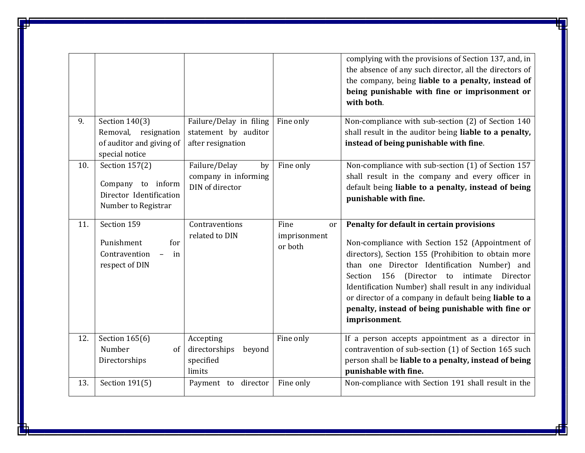|     |                                                                                       |                                                                      |                                                  | complying with the provisions of Section 137, and, in<br>the absence of any such director, all the directors of<br>the company, being liable to a penalty, instead of<br>being punishable with fine or imprisonment or<br>with both.                                                                                                                                                                                                                  |
|-----|---------------------------------------------------------------------------------------|----------------------------------------------------------------------|--------------------------------------------------|-------------------------------------------------------------------------------------------------------------------------------------------------------------------------------------------------------------------------------------------------------------------------------------------------------------------------------------------------------------------------------------------------------------------------------------------------------|
| 9.  | Section 140(3)<br>Removal, resignation<br>of auditor and giving of<br>special notice  | Failure/Delay in filing<br>statement by auditor<br>after resignation | Fine only                                        | Non-compliance with sub-section (2) of Section 140<br>shall result in the auditor being liable to a penalty,<br>instead of being punishable with fine.                                                                                                                                                                                                                                                                                                |
| 10. | Section 157(2)<br>Company to inform<br>Director Identification<br>Number to Registrar | Failure/Delay<br>by<br>company in informing<br>DIN of director       | Fine only                                        | Non-compliance with sub-section (1) of Section 157<br>shall result in the company and every officer in<br>default being liable to a penalty, instead of being<br>punishable with fine.                                                                                                                                                                                                                                                                |
| 11. | Section 159<br>for<br>Punishment<br>Contravention<br>$\sim$<br>in<br>respect of DIN   | Contraventions<br>related to DIN                                     | Fine<br><sub>or</sub><br>imprisonment<br>or both | Penalty for default in certain provisions<br>Non-compliance with Section 152 (Appointment of<br>directors), Section 155 (Prohibition to obtain more<br>than one Director Identification Number) and<br>Section 156<br>(Director<br>intimate<br>Director<br>to<br>Identification Number) shall result in any individual<br>or director of a company in default being liable to a<br>penalty, instead of being punishable with fine or<br>imprisonment. |
| 12. | Section 165(6)<br>Number<br>of<br>Directorships                                       | Accepting<br>directorships<br>beyond<br>specified<br>limits          | Fine only                                        | If a person accepts appointment as a director in<br>contravention of sub-section (1) of Section 165 such<br>person shall be liable to a penalty, instead of being<br>punishable with fine.                                                                                                                                                                                                                                                            |
| 13. | Section 191(5)                                                                        | Payment to director                                                  | Fine only                                        | Non-compliance with Section 191 shall result in the                                                                                                                                                                                                                                                                                                                                                                                                   |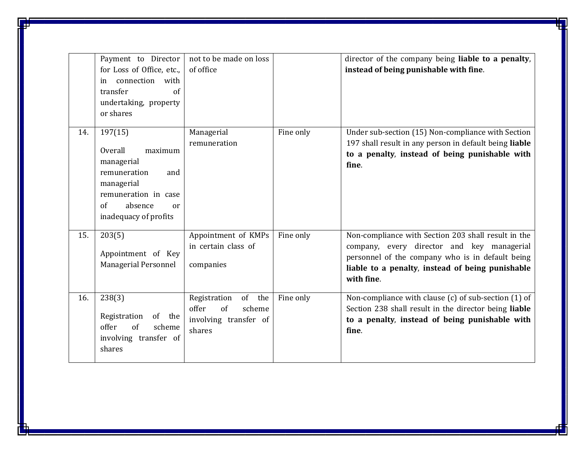|     | Payment to Director<br>for Loss of Office, etc.,<br>connection with<br>in<br>transfer<br>of<br>undertaking, property<br>or shares                        | not to be made on loss<br>of office                                                |           | director of the company being liable to a penalty,<br>instead of being punishable with fine.                                                                                                                            |
|-----|----------------------------------------------------------------------------------------------------------------------------------------------------------|------------------------------------------------------------------------------------|-----------|-------------------------------------------------------------------------------------------------------------------------------------------------------------------------------------------------------------------------|
| 14. | 197(15)<br>Overall<br>maximum<br>managerial<br>remuneration<br>and<br>managerial<br>remuneration in case<br>of<br>absence<br>or<br>inadequacy of profits | Managerial<br>remuneration                                                         | Fine only | Under sub-section (15) Non-compliance with Section<br>197 shall result in any person in default being liable<br>to a penalty, instead of being punishable with<br>fine.                                                 |
| 15. | 203(5)<br>Appointment of Key<br><b>Managerial Personnel</b>                                                                                              | Appointment of KMPs<br>in certain class of<br>companies                            | Fine only | Non-compliance with Section 203 shall result in the<br>company, every director and key managerial<br>personnel of the company who is in default being<br>liable to a penalty, instead of being punishable<br>with fine. |
| 16. | 238(3)<br>Registration<br>of the<br>offer<br>of<br>scheme<br>involving transfer of<br>shares                                                             | Registration<br>of the<br>offer<br>of<br>scheme<br>involving transfer of<br>shares | Fine only | Non-compliance with clause (c) of sub-section (1) of<br>Section 238 shall result in the director being liable<br>to a penalty, instead of being punishable with<br>fine.                                                |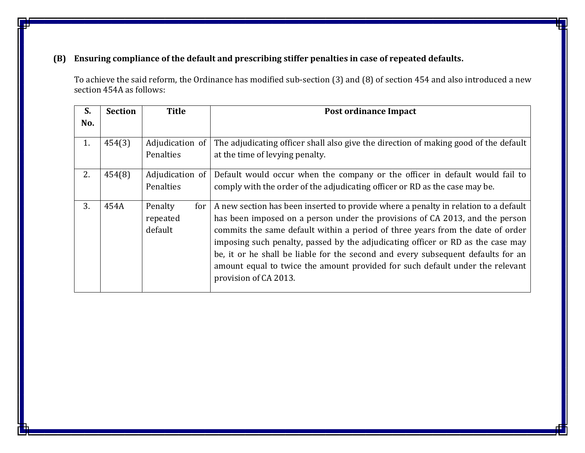## **(B) Ensuring compliance of the default and prescribing stiffer penalties in case of repeated defaults.**

To achieve the said reform, the Ordinance has modified sub-section (3) and (8) of section 454 and also introduced a new section 454A as follows:

| S.  | <b>Section</b> | <b>Title</b>                          | Post ordinance Impact                                                                                                                                                                                                                                                                                                                                                                                                                                                                                                                  |
|-----|----------------|---------------------------------------|----------------------------------------------------------------------------------------------------------------------------------------------------------------------------------------------------------------------------------------------------------------------------------------------------------------------------------------------------------------------------------------------------------------------------------------------------------------------------------------------------------------------------------------|
| No. |                |                                       |                                                                                                                                                                                                                                                                                                                                                                                                                                                                                                                                        |
| 1.  | 454(3)         | Adjudication of<br>Penalties          | The adjudicating officer shall also give the direction of making good of the default<br>at the time of levying penalty.                                                                                                                                                                                                                                                                                                                                                                                                                |
| 2.  | 454(8)         | Adjudication of<br><b>Penalties</b>   | Default would occur when the company or the officer in default would fail to<br>comply with the order of the adjudicating officer or RD as the case may be.                                                                                                                                                                                                                                                                                                                                                                            |
| 3.  | 454A           | Penalty<br>for<br>repeated<br>default | A new section has been inserted to provide where a penalty in relation to a default<br>has been imposed on a person under the provisions of CA 2013, and the person<br>commits the same default within a period of three years from the date of order<br>imposing such penalty, passed by the adjudicating officer or RD as the case may<br>be, it or he shall be liable for the second and every subsequent defaults for an<br>amount equal to twice the amount provided for such default under the relevant<br>provision of CA 2013. |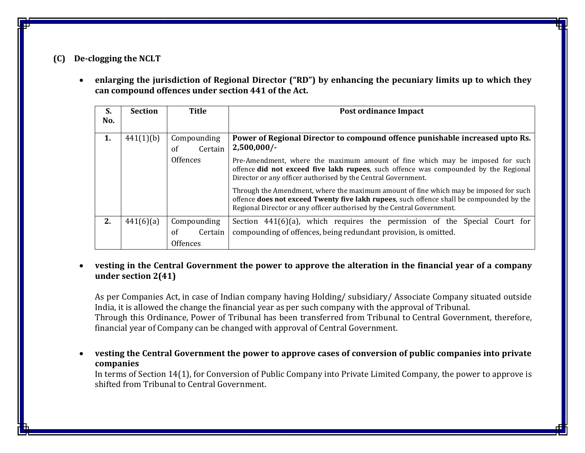### **(C) De-clogging the NCLT**

 **enlarging the jurisdiction of Regional Director ("RD") by enhancing the pecuniary limits up to which they can compound offences under section 441 of the Act.**

| S.<br>No. | <b>Section</b> | <b>Title</b>  | Post ordinance Impact                                                                                                                                                                                                                                       |
|-----------|----------------|---------------|-------------------------------------------------------------------------------------------------------------------------------------------------------------------------------------------------------------------------------------------------------------|
|           |                |               |                                                                                                                                                                                                                                                             |
| 1.        | 441(1)(b)      | Compounding   | Power of Regional Director to compound offence punishable increased upto Rs.                                                                                                                                                                                |
|           |                | Certain<br>of | 2,500,000/                                                                                                                                                                                                                                                  |
|           |                | Offences      | Pre-Amendment, where the maximum amount of fine which may be imposed for such<br>offence did not exceed five lakh rupees, such offence was compounded by the Regional<br>Director or any officer authorised by the Central Government.                      |
|           |                |               | Through the Amendment, where the maximum amount of fine which may be imposed for such<br>offence does not exceed Twenty five lakh rupees, such offence shall be compounded by the<br>Regional Director or any officer authorised by the Central Government. |
| 2.        | 441(6)(a)      | Compounding   | Section $441(6)(a)$ , which requires the permission of the Special Court for                                                                                                                                                                                |
|           |                | of<br>Certain | compounding of offences, being redundant provision, is omitted.                                                                                                                                                                                             |
|           |                | Offences      |                                                                                                                                                                                                                                                             |

### **vesting in the Central Government the power to approve the alteration in the financial year of a company under section 2(41)**

As per Companies Act, in case of Indian company having Holding/ subsidiary/ Associate Company situated outside India, it is allowed the change the financial year as per such company with the approval of Tribunal. Through this Ordinance, Power of Tribunal has been transferred from Tribunal to Central Government, therefore, financial year of Company can be changed with approval of Central Government.

 **vesting the Central Government the power to approve cases of conversion of public companies into private companies**

In terms of Section 14(1), for Conversion of Public Company into Private Limited Company, the power to approve is shifted from Tribunal to Central Government.